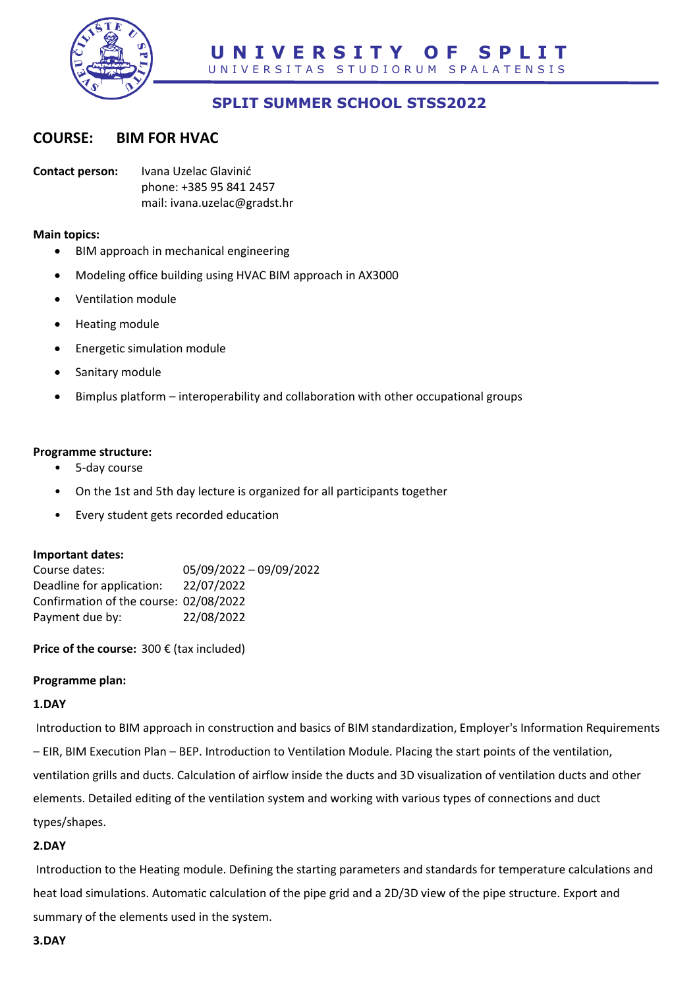

# **SPLIT SUMMER SCHOOL STSS2022**

# **COURSE: BIM FOR HVAC**

**Contact person:** Ivana Uzelac Glavinić phone: +385 95 841 2457 mail: ivana.uzelac@gradst.hr

#### **Main topics:**

- BIM approach in mechanical engineering
- Modeling office building using HVAC BIM approach in AX3000
- Ventilation module
- Heating module
- Energetic simulation module
- Sanitary module
- Bimplus platform interoperability and collaboration with other occupational groups

#### **Programme structure:**

- 5-day course
- On the 1st and 5th day lecture is organized for all participants together
- Every student gets recorded education

#### **Important dates:**

| Course dates:                          | 05/09/2022 - 09/09/2022 |
|----------------------------------------|-------------------------|
| Deadline for application:              | 22/07/2022              |
| Confirmation of the course: 02/08/2022 |                         |
| Payment due by:                        | 22/08/2022              |

**Price of the course:** 300 € (tax included)

#### **Programme plan:**

#### **1.DAY**

Introduction to BIM approach in construction and basics of BIM standardization, Employer's Information Requirements – EIR, BIM Execution Plan – BEP. Introduction to Ventilation Module. Placing the start points of the ventilation, ventilation grills and ducts. Calculation of airflow inside the ducts and 3D visualization of ventilation ducts and other elements. Detailed editing of the ventilation system and working with various types of connections and duct types/shapes.

#### **2.DAY**

Introduction to the Heating module. Defining the starting parameters and standards for temperature calculations and heat load simulations. Automatic calculation of the pipe grid and a 2D/3D view of the pipe structure. Export and summary of the elements used in the system.